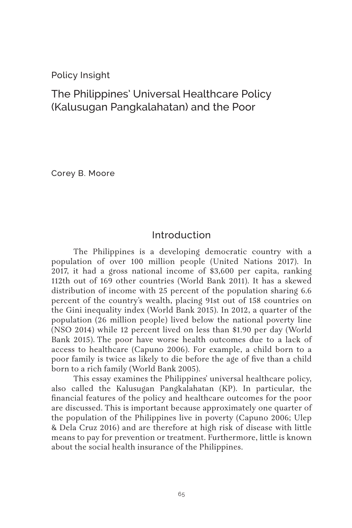Policy Insight

# The Philippines' Universal Healthcare Policy (Kalusugan Pangkalahatan) and the Poor

Corey B. Moore

# Introduction

The Philippines is a developing democratic country with a population of over 100 million people (United Nations 2017). In 2017, it had a gross national income of \$3,600 per capita, ranking 112th out of 169 other countries (World Bank 2011). It has a skewed distribution of income with 25 percent of the population sharing 6.6 percent of the country's wealth, placing 91st out of 158 countries on the Gini inequality index (World Bank 2015). In 2012, a quarter of the population (26 million people) lived below the national poverty line (NSO 2014) while 12 percent lived on less than \$1.90 per day (World Bank 2015). The poor have worse health outcomes due to a lack of access to healthcare (Capuno 2006). For example, a child born to a poor family is twice as likely to die before the age of five than a child born to a rich family (World Bank 2005).

This essay examines the Philippines' universal healthcare policy, also called the Kalusugan Pangkalahatan (KP). In particular, the financial features of the policy and healthcare outcomes for the poor are discussed. This is important because approximately one quarter of the population of the Philippines live in poverty (Capuno 2006; Ulep & Dela Cruz 2016) and are therefore at high risk of disease with little means to pay for prevention or treatment. Furthermore, little is known about the social health insurance of the Philippines.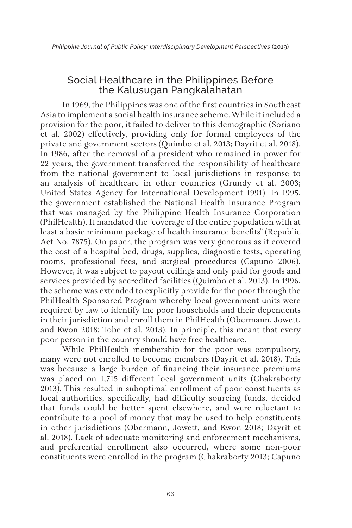# Social Healthcare in the Philippines Before the Kalusugan Pangkalahatan

In 1969, the Philippines was one of the first countries in Southeast Asia to implement a social health insurance scheme. While it included a provision for the poor, it failed to deliver to this demographic (Soriano et al. 2002) effectively, providing only for formal employees of the private and government sectors (Quimbo et al. 2013; Dayrit et al. 2018). In 1986, after the removal of a president who remained in power for 22 years, the government transferred the responsibility of healthcare from the national government to local jurisdictions in response to an analysis of healthcare in other countries (Grundy et al. 2003; United States Agency for International Development 1991). In 1995, the government established the National Health Insurance Program that was managed by the Philippine Health Insurance Corporation (PhilHealth). It mandated the "coverage of the entire population with at least a basic minimum package of health insurance benefits" (Republic Act No. 7875). On paper, the program was very generous as it covered the cost of a hospital bed, drugs, supplies, diagnostic tests, operating rooms, professional fees, and surgical procedures (Capuno 2006). However, it was subject to payout ceilings and only paid for goods and services provided by accredited facilities (Quimbo et al. 2013). In 1996, the scheme was extended to explicitly provide for the poor through the PhilHealth Sponsored Program whereby local government units were required by law to identify the poor households and their dependents in their jurisdiction and enroll them in PhilHealth (Obermann, Jowett, and Kwon 2018; Tobe et al. 2013). In principle, this meant that every poor person in the country should have free healthcare.

While PhilHealth membership for the poor was compulsory, many were not enrolled to become members (Dayrit et al. 2018). This was because a large burden of financing their insurance premiums was placed on 1,715 different local government units (Chakraborty 2013). This resulted in suboptimal enrollment of poor constituents as local authorities, specifically, had difficulty sourcing funds, decided that funds could be better spent elsewhere, and were reluctant to contribute to a pool of money that may be used to help constituents in other jurisdictions (Obermann, Jowett, and Kwon 2018; Dayrit et al. 2018). Lack of adequate monitoring and enforcement mechanisms, and preferential enrollment also occurred, where some non-poor constituents were enrolled in the program (Chakraborty 2013; Capuno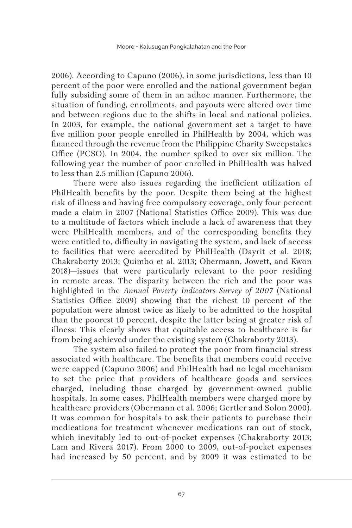2006). According to Capuno (2006), in some jurisdictions, less than 10 percent of the poor were enrolled and the national government began fully subsiding some of them in an adhoc manner. Furthermore, the situation of funding, enrollments, and payouts were altered over time and between regions due to the shifts in local and national policies. In 2003, for example, the national government set a target to have five million poor people enrolled in PhilHealth by 2004, which was financed through the revenue from the Philippine Charity Sweepstakes Office (PCSO). In 2004, the number spiked to over six million. The following year the number of poor enrolled in PhilHealth was halved to less than 2.5 million (Capuno 2006).

There were also issues regarding the inefficient utilization of PhilHealth benefits by the poor. Despite them being at the highest risk of illness and having free compulsory coverage, only four percent made a claim in 2007 (National Statistics Office 2009). This was due to a multitude of factors which include a lack of awareness that they were PhilHealth members, and of the corresponding benefits they were entitled to, difficulty in navigating the system, and lack of access to facilities that were accredited by PhilHealth (Dayrit et al. 2018; Chakraborty 2013; Quimbo et al. 2013; Obermann, Jowett, and Kwon 2018)—issues that were particularly relevant to the poor residing in remote areas. The disparity between the rich and the poor was highlighted in the *Annual Poverty Indicators Survey of 2007* (National Statistics Office 2009) showing that the richest 10 percent of the population were almost twice as likely to be admitted to the hospital than the poorest 10 percent, despite the latter being at greater risk of illness. This clearly shows that equitable access to healthcare is far from being achieved under the existing system (Chakraborty 2013).

The system also failed to protect the poor from financial stress associated with healthcare. The benefits that members could receive were capped (Capuno 2006) and PhilHealth had no legal mechanism to set the price that providers of healthcare goods and services charged, including those charged by government-owned public hospitals. In some cases, PhilHealth members were charged more by healthcare providers (Obermann et al. 2006; Gertler and Solon 2000). It was common for hospitals to ask their patients to purchase their medications for treatment whenever medications ran out of stock, which inevitably led to out-of-pocket expenses (Chakraborty 2013; Lam and Rivera 2017). From 2000 to 2009, out-of-pocket expenses had increased by 50 percent, and by 2009 it was estimated to be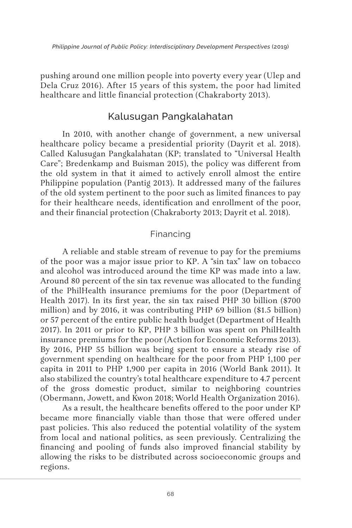pushing around one million people into poverty every year (Ulep and Dela Cruz 2016). After 15 years of this system, the poor had limited healthcare and little financial protection (Chakraborty 2013).

# Kalusugan Pangkalahatan

In 2010, with another change of government, a new universal healthcare policy became a presidential priority (Dayrit et al. 2018). Called Kalusugan Pangkalahatan (KP; translated to "Universal Health Care"; Bredenkamp and Buisman 2015), the policy was different from the old system in that it aimed to actively enroll almost the entire Philippine population (Pantig 2013). It addressed many of the failures of the old system pertinent to the poor such as limited finances to pay for their healthcare needs, identification and enrollment of the poor, and their financial protection (Chakraborty 2013; Dayrit et al. 2018).

#### Financing

A reliable and stable stream of revenue to pay for the premiums of the poor was a major issue prior to KP. A "sin tax" law on tobacco and alcohol was introduced around the time KP was made into a law. Around 80 percent of the sin tax revenue was allocated to the funding of the PhilHealth insurance premiums for the poor (Department of Health 2017). In its first year, the sin tax raised PHP 30 billion (\$700 million) and by 2016, it was contributing PHP 69 billion (\$1.5 billion) or 57 percent of the entire public health budget (Department of Health 2017). In 2011 or prior to KP, PHP 3 billion was spent on PhilHealth insurance premiums for the poor (Action for Economic Reforms 2013). By 2016, PHP 55 billion was being spent to ensure a steady rise of government spending on healthcare for the poor from PHP 1,100 per capita in 2011 to PHP 1,900 per capita in 2016 (World Bank 2011). It also stabilized the country's total healthcare expenditure to 4.7 percent of the gross domestic product, similar to neighboring countries (Obermann, Jowett, and Kwon 2018; World Health Organization 2016).

As a result, the healthcare benefits offered to the poor under KP became more financially viable than those that were offered under past policies. This also reduced the potential volatility of the system from local and national politics, as seen previously. Centralizing the financing and pooling of funds also improved financial stability by allowing the risks to be distributed across socioeconomic groups and regions.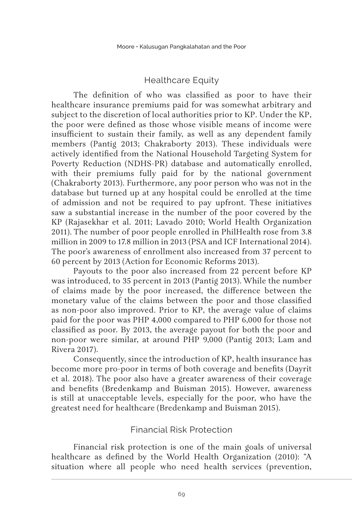### Healthcare Equity

The definition of who was classified as poor to have their healthcare insurance premiums paid for was somewhat arbitrary and subject to the discretion of local authorities prior to KP. Under the KP, the poor were defined as those whose visible means of income were insufficient to sustain their family, as well as any dependent family members (Pantig 2013; Chakraborty 2013). These individuals were actively identified from the National Household Targeting System for Poverty Reduction (NDHS-PR) database and automatically enrolled, with their premiums fully paid for by the national government (Chakraborty 2013). Furthermore, any poor person who was not in the database but turned up at any hospital could be enrolled at the time of admission and not be required to pay upfront. These initiatives saw a substantial increase in the number of the poor covered by the KP (Rajasekhar et al. 2011; Lavado 2010; World Health Organization 2011). The number of poor people enrolled in PhilHealth rose from 3.8 million in 2009 to 17.8 million in 2013 (PSA and ICF International 2014). The poor's awareness of enrollment also increased from 37 percent to 60 percent by 2013 (Action for Economic Reforms 2013).

Payouts to the poor also increased from 22 percent before KP was introduced, to 35 percent in 2013 (Pantig 2013). While the number of claims made by the poor increased, the difference between the monetary value of the claims between the poor and those classified as non-poor also improved. Prior to KP, the average value of claims paid for the poor was PHP 4,000 compared to PHP 6,000 for those not classified as poor. By 2013, the average payout for both the poor and non-poor were similar, at around PHP 9,000 (Pantig 2013; Lam and Rivera 2017).

Consequently, since the introduction of KP, health insurance has become more pro-poor in terms of both coverage and benefits (Dayrit et al. 2018). The poor also have a greater awareness of their coverage and benefits (Bredenkamp and Buisman 2015). However, awareness is still at unacceptable levels, especially for the poor, who have the greatest need for healthcare (Bredenkamp and Buisman 2015).

#### Financial Risk Protection

Financial risk protection is one of the main goals of universal healthcare as defined by the World Health Organization (2010): "A situation where all people who need health services (prevention,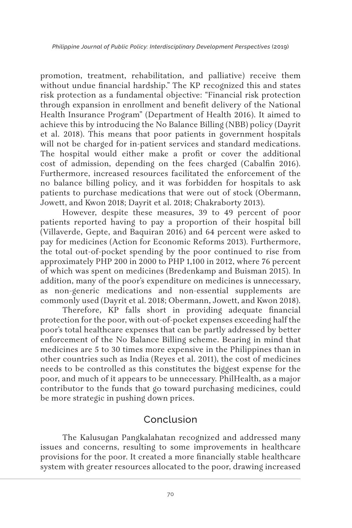promotion, treatment, rehabilitation, and palliative) receive them without undue financial hardship." The KP recognized this and states risk protection as a fundamental objective: "Financial risk protection through expansion in enrollment and benefit delivery of the National Health Insurance Program" (Department of Health 2016). It aimed to achieve this by introducing the No Balance Billing (NBB) policy (Dayrit et al. 2018). This means that poor patients in government hospitals will not be charged for in-patient services and standard medications. The hospital would either make a profit or cover the additional cost of admission, depending on the fees charged (Cabalfin 2016). Furthermore, increased resources facilitated the enforcement of the no balance billing policy, and it was forbidden for hospitals to ask patients to purchase medications that were out of stock (Obermann, Jowett, and Kwon 2018; Dayrit et al. 2018; Chakraborty 2013).

However, despite these measures, 39 to 49 percent of poor patients reported having to pay a proportion of their hospital bill (Villaverde, Gepte, and Baquiran 2016) and 64 percent were asked to pay for medicines (Action for Economic Reforms 2013). Furthermore, the total out-of-pocket spending by the poor continued to rise from approximately PHP 200 in 2000 to PHP 1,100 in 2012, where 76 percent of which was spent on medicines (Bredenkamp and Buisman 2015). In addition, many of the poor's expenditure on medicines is unnecessary, as non-generic medications and non-essential supplements are commonly used (Dayrit et al. 2018; Obermann, Jowett, and Kwon 2018).

Therefore, KP falls short in providing adequate financial protection for the poor, with out-of-pocket expenses exceeding half the poor's total healthcare expenses that can be partly addressed by better enforcement of the No Balance Billing scheme. Bearing in mind that medicines are 5 to 30 times more expensive in the Philippines than in other countries such as India (Reyes et al. 2011), the cost of medicines needs to be controlled as this constitutes the biggest expense for the poor, and much of it appears to be unnecessary. PhilHealth, as a major contributor to the funds that go toward purchasing medicines, could be more strategic in pushing down prices.

# Conclusion

The Kalusugan Pangkalahatan recognized and addressed many issues and concerns, resulting to some improvements in healthcare provisions for the poor. It created a more financially stable healthcare system with greater resources allocated to the poor, drawing increased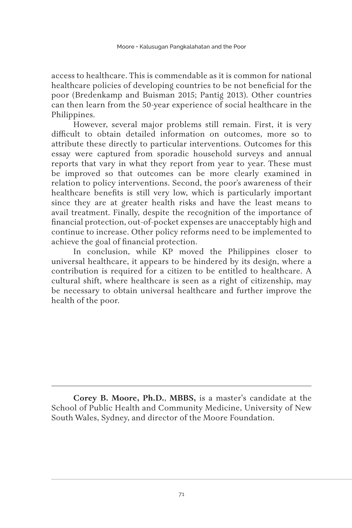access to healthcare. This is commendable as it is common for national healthcare policies of developing countries to be not beneficial for the poor (Bredenkamp and Buisman 2015; Pantig 2013). Other countries can then learn from the 50-year experience of social healthcare in the Philippines.

However, several major problems still remain. First, it is very difficult to obtain detailed information on outcomes, more so to attribute these directly to particular interventions. Outcomes for this essay were captured from sporadic household surveys and annual reports that vary in what they report from year to year. These must be improved so that outcomes can be more clearly examined in relation to policy interventions. Second, the poor's awareness of their healthcare benefits is still very low, which is particularly important since they are at greater health risks and have the least means to avail treatment. Finally, despite the recognition of the importance of financial protection, out-of-pocket expenses are unacceptably high and continue to increase. Other policy reforms need to be implemented to achieve the goal of financial protection.

In conclusion, while KP moved the Philippines closer to universal healthcare, it appears to be hindered by its design, where a contribution is required for a citizen to be entitled to healthcare. A cultural shift, where healthcare is seen as a right of citizenship, may be necessary to obtain universal healthcare and further improve the health of the poor.

**Corey B. Moore, Ph.D.**, **MBBS,** is a master's candidate at the School of Public Health and Community Medicine, University of New South Wales, Sydney, and director of the Moore Foundation.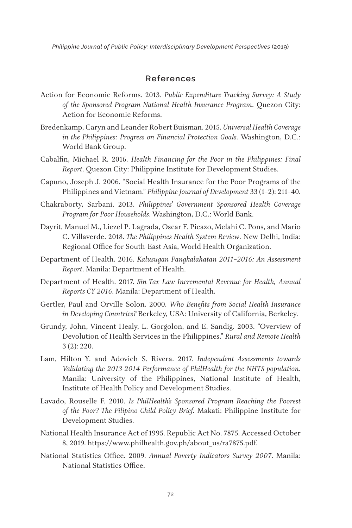*Philippine Journal of Public Policy: Interdisciplinary Development Perspectives* (2019)

#### **References**

- Action for Economic Reforms. 2013. *Public Expenditure Tracking Survey: A Study of the Sponsored Program National Health Insurance Program*. Quezon City: Action for Economic Reforms.
- Bredenkamp, Caryn and Leander Robert Buisman. 2015. *Universal Health Coverage in the Philippines: Progress on Financial Protection Goals.* Washington, D.C.: World Bank Group.
- Cabalfin, Michael R. 2016. *Health Financing for the Poor in the Philippines: Final Report*. Quezon City: Philippine Institute for Development Studies.
- Capuno, Joseph J. 2006. "Social Health Insurance for the Poor Programs of the Philippines and Vietnam." *Philippine Journal of Development* 33 (1–2): 211–40.
- Chakraborty, Sarbani. 2013. *Philippines' Government Sponsored Health Coverage Program for Poor Households*. Washington, D.C.: World Bank.
- Dayrit, Manuel M., Liezel P. Lagrada, Oscar F. Picazo, Melahi C. Pons, and Mario C. Villaverde. 2018. *The Philippines Health System Review*. New Delhi, India: Regional Office for South-East Asia, World Health Organization.
- Department of Health. 2016. *Kalusugan Pangkalahatan 2011–2016: An Assessment Report*. Manila: Department of Health.
- Department of Health. 2017. *Sin Tax Law Incremental Revenue for Health, Annual Reports CY 2016*. Manila: Department of Health.
- Gertler, Paul and Orville Solon. 2000. *Who Benefits from Social Health Insurance in Developing Countries?* Berkeley, USA: University of California, Berkeley.
- Grundy, John, Vincent Healy, L. Gorgolon, and E. Sandig. 2003. "Overview of Devolution of Health Services in the Philippines." *Rural and Remote Health* 3 (2): 220.
- Lam, Hilton Y. and Adovich S. Rivera. 2017. *Independent Assessments towards Validating the 2013-2014 Performance of PhilHealth for the NHTS population*. Manila: University of the Philippines, National Institute of Health, Institute of Health Policy and Development Studies.
- Lavado, Rouselle F. 2010. *Is PhilHealth's Sponsored Program Reaching the Poorest of the Poor? The Filipino Child Policy Brief.* Makati: Philippine Institute for Development Studies.
- National Health Insurance Act of 1995. Republic Act No. 7875. Accessed October 8, 2019. https://www.philhealth.gov.ph/about\_us/ra7875.pdf.
- National Statistics Office. 2009. *Annual Poverty Indicators Survey 2007*. Manila: National Statistics Office.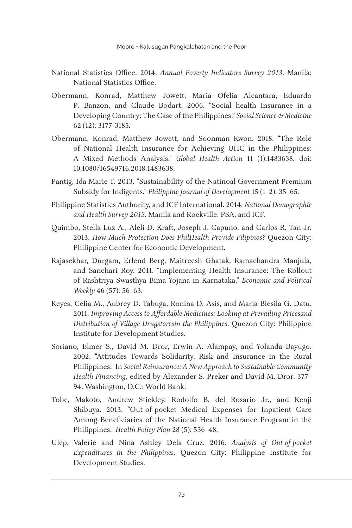- National Statistics Office. 2014. *Annual Poverty Indicators Survey 2013*. Manila: National Statistics Office.
- Obermann, Konrad, Matthew Jowett, Maria Ofelia Alcantara, Eduardo P. Banzon, and Claude Bodart. 2006. "Social health Insurance in a Developing Country: The Case of the Philippines." *Social Science & Medicine* 62 (12): 3177-3185.
- Obermann, Konrad, Matthew Jowett, and Soonman Kwon. 2018. "The Role of National Health Insurance for Achieving UHC in the Philippines: A Mixed Methods Analysis." *Global Health Action* 11 (1):1483638. doi: 10.1080/16549716.2018.1483638.
- Pantig, Ida Marie T. 2013. "Sustainability of the Natinoal Government Premium Subsidy for Indigents." *Philippine Journal of Development* 15 (1–2): 35–65.
- Philippine Statistics Authority, and ICF International. 2014. *National Demographic and Health Survey 2013*. Manila and Rockville: PSA, and ICF.
- Quimbo, Stella Luz A., Aleli D. Kraft, Joseph J. Capuno, and Carlos R. Tan Jr. 2013. *How Much Protection Does PhilHealth Provide Filipinos?* Quezon City: Philippine Center for Economic Development.
- Rajasekhar, Durgam, Erlend Berg, Maitreesh Ghatak, Ramachandra Manjula, and Sanchari Roy. 2011. "Implementing Health Insurance: The Rollout of Rashtriya Swasthya Bima Yojana in Karnataka." *Economic and Political Weekly* 46 (57): 56–63.
- Reyes, Celia M., Aubrey D. Tabuga, Ronina D. Asis, and Maria Blesila G. Datu. 2011. *Improving Access to Affordable Medicines: Looking at Prevailing Pricesand Distribution of Village Drugstoresin the Philippines*. Quezon City: Philippine Institute for Development Studies.
- Soriano, Elmer S., David M. Dror, Erwin A. Alampay, and Yolanda Bayugo. 2002. "Attitudes Towards Solidarity, Risk and Insurance in the Rural Philippines." In *Social Reinsurance: A New Approach to Sustainable Community Health Financing*, edited by Alexander S. Preker and David M. Dror, 377– 94. Washington, D.C.: World Bank.
- Tobe, Makoto, Andrew Stickley, Rodolfo B. del Rosario Jr., and Kenji Shibuya. 2013. "Out-of-pocket Medical Expenses for Inpatient Care Among Beneficiaries of the National Health Insurance Program in the Philippines." *Health Policy Plan* 28 (5): 536–48.
- Ulep, Valerie and Nina Ashley Dela Cruz. 2016. *Analysis of Out-of-pocket Expenditures in the Philippines*. Quezon City: Philippine Institute for Development Studies.